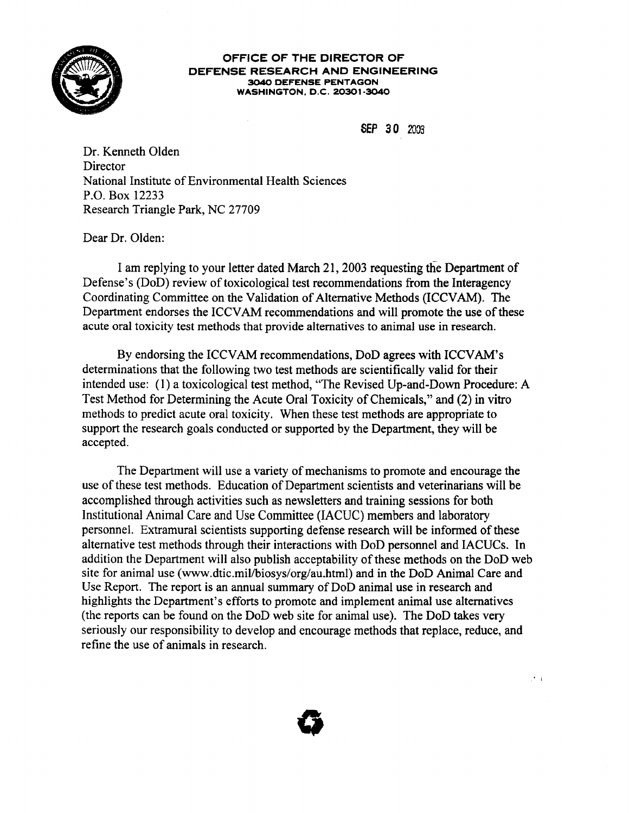

## OFFICE OF THE DIRECTOR OF DEFENSE RESEARCH AND ENGINEERING 3040 DEFENSE PENTAGON WASHINGTON, D.C. 20301-3040

SEP 30 2003

Dr. Kenneth Olden **Director** National Institute of Environmental Health Sciences P.O. Box 12233 Research Triangle Park, NC 27709

Dear Dr. Olden:

I am replying to your letter dated March 21, 2003 requesting the Department of Defense's (DoD) review of toxicological test recommendations from the Interagency Coordinating Committee on the Validation of Alternative Methods (ICCVAM). The Department endorses the ICCVAM recommendations and will promote the use of these acute oral toxicity test methods that provide alternatives to animal use in research.

By endorsing the ICCVAM recommendations, DoD agrees with ICCVAM's determinations that the following two test methods are scientifically valid for their intended use: (1) a toxicological test method, "The Revised Up-and-Down Procedure: A Test Method for Determining the Acute Oral Toxicity of Chemicals," and (2) in vitro methods to predict acute oral toxicity. When these test methods are appropriate to support the research goals conducted or supported by the Department, they will be accepted.

The Department will use a variety of mechanisms to promote and encourage the use of these test methods. Education of Department scientists and veterinarians will be accomplished through activities such as newsletters and training sessions for both Institutional Animal Care and Use Committee (IACUC) members and laboratory personnel. Extramural scientists supporting defense research will be informed of these alternative test methods through their interactions with DoD personnel and IACUCs. In addition the Department will also publish acceptability of these methods on the DoD web site for animal use (www.dtic.mil/biosys/org/au.html) and in the DoD Animal Care and Use Report. The report is an annual summary of DoD animal use in research and highlights the Department's efforts to promote and implement animal use alternatives (the reports can be found on the DoD web site for animal use). The DoD takes very seriously our responsibility to develop and encourage methods that replace, reduce, and refine the use of animals in research.



 $\mathcal{F}$  i